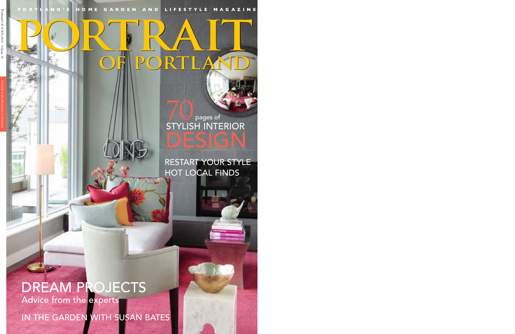PORTLAND'S HOME GARDEN AND LIFES YLE MAGAZINE П

## **OF PORTLAND OF PORTLAND**PORTRAIT

#### RESTART YOUR STYLE HOT LOCAL FINDS

STYLISH INTERIOR

DESIGN

 $70<sub>pages of</sub>$ 

### DREAM PROJECTS Advice from the experts

IN THE GARDEN WITH SUSAN BATES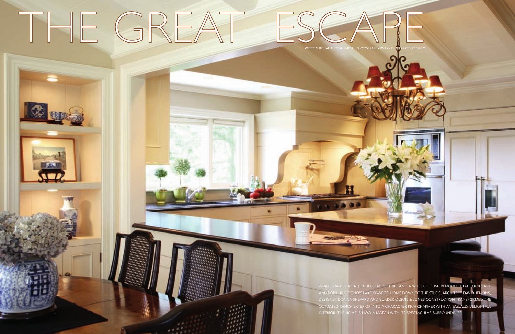# THE GREAT ESCAPE



WHAT STARTED AS A KITCHEN FACELIFT BECAME A WHOLE HOUSE REMODEL THAT TOOK JAC AND ROBIN RUSCIGNO'S LAKE OSWEGO HOME DOWN TO THE STUDS. ARCHITECT DAVID JENI DESIGNER DONNA SHEPARD AND BUILDER OLSON & JONES CONSTRUCTION TRANSFORMED THE OUTDATED RANCH EXTERIOR INTO A CHARACTER-RICH CHARMER WITH AN EQUALLY DELIGHTFUL INTERIOR. THE HOME IS NOW A MATCH WITH ITS SPECTACULAR SURROUNDINGS.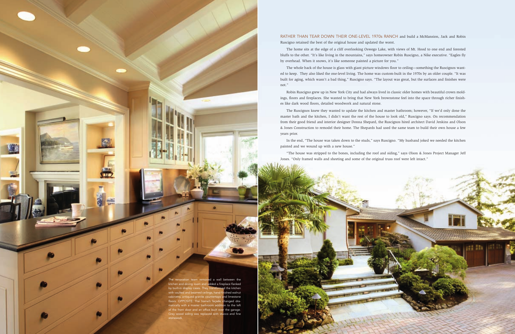

#### RATHER THAN TEAR DOWN THEIR ONE-LEVEL 1970s RANCH and build a McMansion, Jack and Robin Ruscigno retained the best of the original house and updated the worst.

The home sits at the edge of a cliff overlooking Oswego Lake, with views of Mt. Hood to one end and forested bluffs to the other. "It's like living in the mountains," says homeowner Robin Ruscigno, a Nike executive. "Eagles fly by overhead. When it snows, it's like someone painted a picture for you."

The whole back of the house is glass with giant picture windows floor to ceiling—something the Ruscignos wanted to keep. They also liked the one-level living. The home was custom-built in the 1970s by an older couple. "It was built for aging, which wasn't a bad thing," Ruscigno says. "The layout was great, but the surfaces and finishes were not."

Robin Ruscigno grew up in New York City and had always lived in classic older homes with beautiful crown moldings, floors and fireplaces. She wanted to bring that New York brownstone feel into the space through richer finishes like dark wood floors, detailed woodwork and natural stone.

The Ruscignos knew they wanted to update the kitchen and master bathroom; however, "If we'd only done the master bath and the kitchen, I didn't want the rest of the house to look old," Ruscigno says. On recommendation from their good friend and interior designer Donna Shepard, the Ruscignos hired architect David Jenkins and Olson & Jones Construction to remodel their home. The Shepards had used the same team to build their own house a few years prior.

In the end, "The house was taken down to the studs," says Ruscigno. "My husband joked we needed the kitchen painted and we wound up with a new house."

"The house was stripped to the bones, including the roof and siding," says Olson & Jones Project Manager Jeff Jones. "Only framed walls and sheeting and some of the original truss roof were left intact."

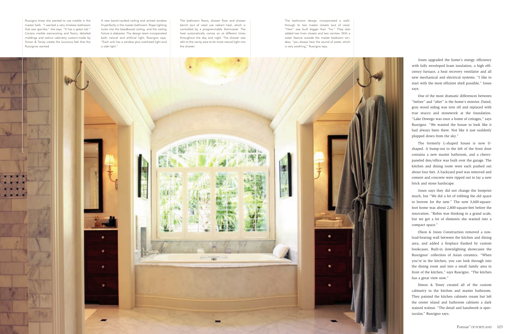Jones upgraded the home's energy efficiency with fully enveloped foam insulation, a high efficiency furnace, a heat recovery ventilator and all new mechanical and electrical systems. "I like to start with the most efficient shell possible," Jones says.

One of the most dramatic differences between "before" and "after" is the home's exterior. Dated, gray wood siding was torn off and replaced with true stucco and stonework at the foundation. "Lake Oswego was once a home of cottages," says Ruscigno. "We wanted the house to look like it had always been there. Not like it just suddenly plopped down from the sky."

The formerly L-shaped house is now Ushaped. A bump-out to the left of the front door contains a new master bathroom, and a cherrypaneled den/office was built over the garage. The kitchen and dining room were each pushed out about four feet. A backyard pool was removed and cement and concrete were ripped out to lay a new brick and stone hardscape.

Jones says they did not change the footprint much, but "We did a lot of robbing the old space to borrow for the new." The now 3,600-squarefoot home was about 2,800-square-feet before the renovation. "Robin was thinking in a grand scale, but we got a lot of elements she wanted into a compact space."

Olson & Jones Construction removed a nonload-bearing wall between the kitchen and dining area, and added a fireplace flanked by custom bookcases. Built-in downlighting showcases the Ruscignos' collection of Asian ceramics. "When you're in the kitchen, you can look through into the dining room and into a small family area in front of the kitchen," says Ruscigno. "The kitchen has a great view now."

Simon & Toney created all of the custom cabinetry in the kitchen and master bathroom. They painted the kitchen cabinets cream but left the center island and bathroom cabinets a dark stained walnut. "The detail and handwork is spectacular," Ruscigno says.

Ruscigno knew she wanted to use marble in the master bath. "I wanted a very timeless bathroom that was spa-like," she says. "It has a great tub." Carrara marble wainscoting and floors, detailed moldings and walnut cabinetry custom-made by Simon & Toney create the luxurious feel that the Ruscignos wanted.

A new barrel-vaulted ceiling and arched window fit perfectly in the master bathroom. Rope lighting tucks into the beadboard ceiling, and the ceiling fixture is alabaster. The design team incorporated both natural and artificial light, Ruscigno says. "Each sink has a window plus overhead light and a side light."

The bathroom floors, shower floor and shower bench (out of view) use radiant heat, which is controlled by a programmable thermostat. The heat automatically comes on at different times throughout the day and night. The shower was relit to the vanity area to let more natural light into the shower.

The bathroom design incorporated a walkthrough to two master closets (out of view). "Hers" was built bigger than "his." They also added two linen closets and two vanities. With a water feature outside the master bedroom window, "you always hear the sound of water, which is very soothing," Ruscigno says.